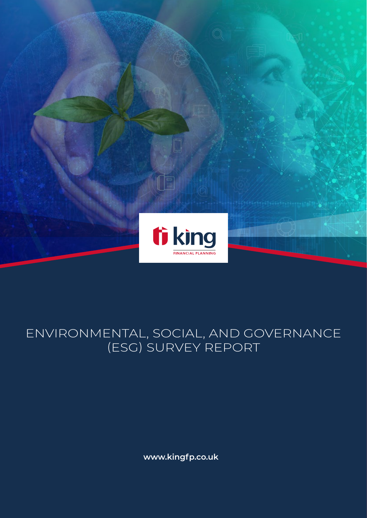

### ENVIRONMENTAL, SOCIAL, AND GOVERNANCE (ESG) SURVEY REPORT

**www.kingfp.co.uk**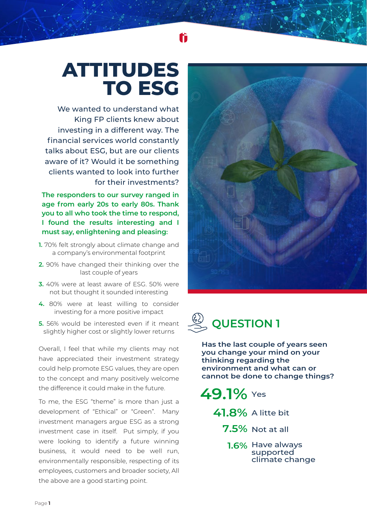# **ATTITUDES TO ESG**

We wanted to understand what King FP clients knew about investing in a different way. The financial services world constantly talks about ESG, but are our clients aware of it? Would it be something clients wanted to look into further for their investments?

**The responders to our survey ranged in age from early 20s to early 80s. Thank you to all who took the time to respond, I found the results interesting and I must say, enlightening and pleasing:**

- **1.** 70% felt strongly about climate change and a company's environmental footprint
- **2.** 90% have changed their thinking over the last couple of years
- **3.** 40% were at least aware of ESG. 50% were not but thought it sounded interesting
- **4.** 80% were at least willing to consider investing for a more positive impact
- **5.** 56% would be interested even if it meant slightly higher cost or slightly lower returns

Overall, I feel that while my clients may not have appreciated their investment strategy could help promote ESG values, they are open to the concept and many positively welcome the difference it could make in the future.

To me, the ESG "theme" is more than just a development of "Ethical" or "Green". Many investment managers argue ESG as a strong investment case in itself. Put simply, if you were looking to identify a future winning business, it would need to be well run, environmentally responsible, respecting of its employees, customers and broader society, All the above are a good starting point.





**Has the last couple of years seen you change your mind on your thinking regarding the environment and what can or cannot be done to change things?**

**49.1%** Yes

**41.8%** A litte bit

**7.5%** Not at all

**1.6%** Have always supported climate change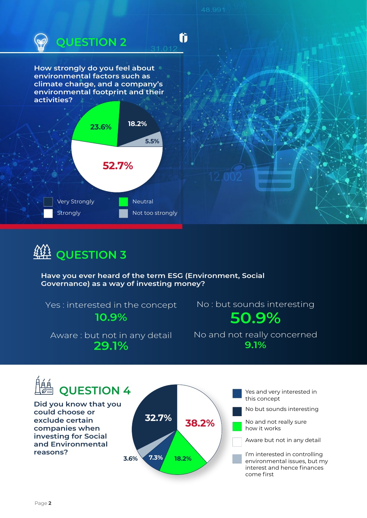

## **QUESTION 3**

**Have you ever heard of the term ESG (Environment, Social Governance) as a way of investing money?**

Yes : interested in the concept **10.9%**

No : but sounds interesting **50.9%**

Aware : but not in any detail **29.1% 9.1%**

No and not really concerned

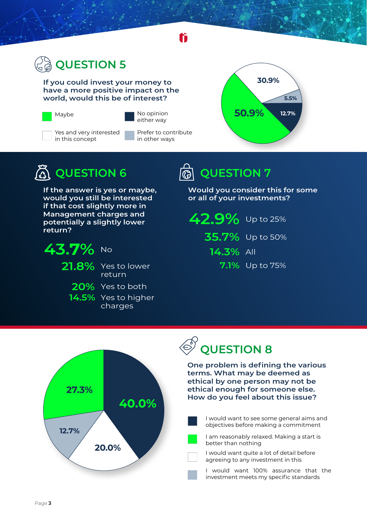

**If you could invest your money to have a more positive impact on the world, would this be of interest?**





No opinion either way

Yes and very interested in this concept

Prefer to contribute in other ways



## $\tilde{\mathbb{A}}$  QUESTION 6  $\qquad$  ඹ QUESTION 7

**If the answer is yes or maybe, would you still be interested if that cost slightly more in Management charges and potentially a slightly lower return?**



**21.8%** Yes to lower

return

**20%** Yes to both

**14.5%** Yes to higher charges

**Would you consider this for some or all of your investments?**

**42.9%** Up to 25% **35.7%** Up to 50% **14.3%** All **7.1%** Up to 75%



## **QUESTION 8**

**One problem is defining the various terms. What may be deemed as ethical by one person may not be ethical enough for someone else. How do you feel about this issue?**

I would want to see some general aims and objectives before making a commitment

I am reasonably relaxed. Making a start is better than nothing

I would want quite a lot of detail before agreeing to any investment in this

I would want 100% assurance that the investment meets my specific standards